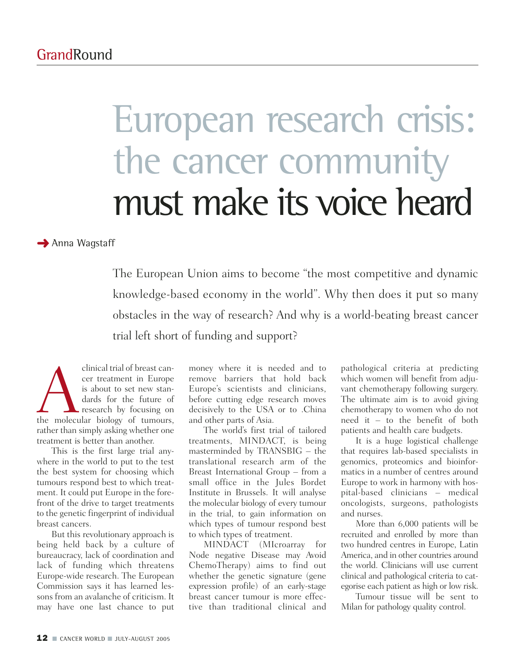# European research crisis: the cancer community must make its voice heard

**→ Anna Wagstaff** 

The European Union aims to become "the most competitive and dynamic knowledge-based economy in the world". Why then does it put so many obstacles in the way of research? And why is a world-beating breast cancer trial left short of funding and support?

clinical trial of breast can-<br>
cer treatment in Europe<br>
is about to set new stan-<br>
dards for the future of<br>
research by focusing on<br>
the molecular biology of tumours, cer treatment in Europe is about to set new standards for the future of research by focusing on rather than simply asking whether one treatment is better than another.

This is the first large trial anywhere in the world to put to the test the best system for choosing which tumours respond best to which treatment. It could put Europe in the forefront of the drive to target treatments to the genetic fingerprint of individual breast cancers.

But this revolutionary approach is being held back by a culture of bureaucracy, lack of coordination and lack of funding which threatens Europe-wide research. The European Commission says it has learned lessons from an avalanche of criticism. It may have one last chance to put money where it is needed and to remove barriers that hold back Europe's scientists and clinicians, before cutting edge research moves decisively to the USA or to .China and other parts of Asia.

The world's first trial of tailored treatments, MINDACT, is being masterminded by TRANSBIG – the translational research arm of the Breast International Group – from a small office in the Jules Bordet Institute in Brussels. It will analyse the molecular biology of every tumour in the trial, to gain information on which types of tumour respond best to which types of treatment.

MINDACT (MIcroarray for Node negative Disease may Avoid ChemoTherapy) aims to find out whether the genetic signature (gene expression profile) of an early-stage breast cancer tumour is more effective than traditional clinical and

pathological criteria at predicting which women will benefit from adjuvant chemotherapy following surgery. The ultimate aim is to avoid giving chemotherapy to women who do not need it – to the benefit of both patients and health care budgets.

It is a huge logistical challenge that requires lab-based specialists in genomics, proteomics and bioinformatics in a number of centres around Europe to work in harmony with hospital-based clinicians – medical oncologists, surgeons, pathologists and nurses.

More than 6,000 patients will be recruited and enrolled by more than two hundred centres in Europe, Latin America, and in other countries around the world. Clinicians will use current clinical and pathological criteria to categorise each patient as high or low risk.

Tumour tissue will be sent to Milan for pathology quality control.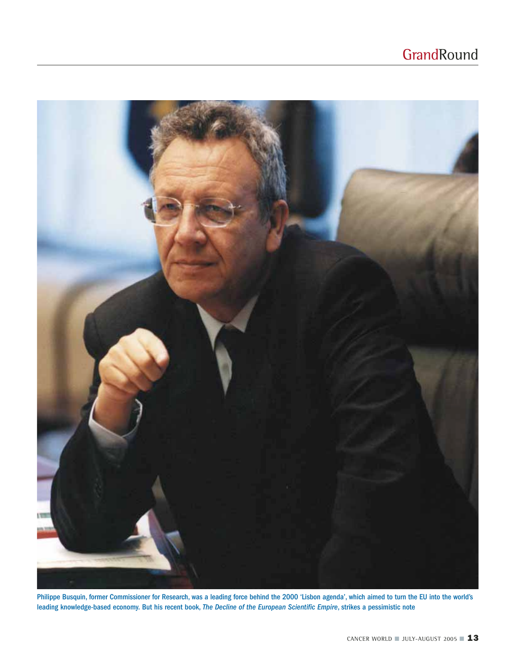

Philippe Busquin, former Commissioner for Research, was a leading force behind the 2000 'Lisbon agenda', which aimed to turn the EU into the world's leading knowledge-based economy. But his recent book, *The Decline of the European Scientific Empire*, strikes a pessimistic note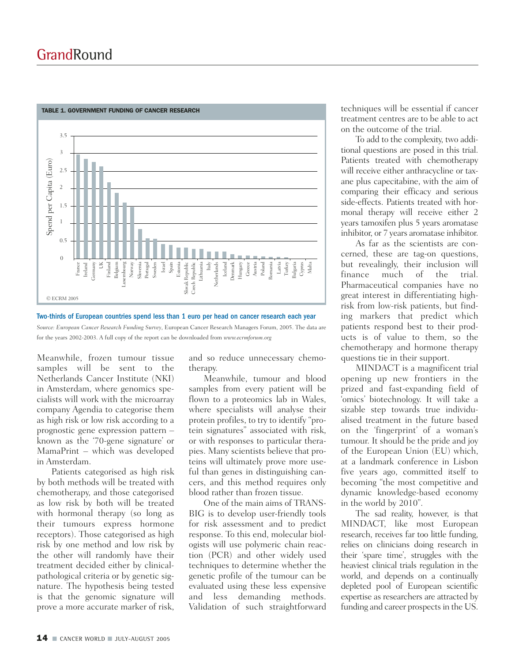### **GrandRound**



#### TABLE 1. GOVERNMENT FUNDING OF CANCER RESEARCH

Two-thirds of European countries spend less than 1 euro per head on cancer research each year

*Source: European Cancer Research Funding Survey*, European Cancer Research Managers Forum, 2005. The data are for the years 2002-2003. A full copy of the report can be downloaded from *www.ecrmforum.org*

Meanwhile, frozen tumour tissue samples will be sent to the Netherlands Cancer Institute (NKI) in Amsterdam, where genomics specialists will work with the microarray company Agendia to categorise them as high risk or low risk according to a prognostic gene expression pattern – known as the '70-gene signature' or MamaPrint – which was developed in Amsterdam.

Patients categorised as high risk by both methods will be treated with chemotherapy, and those categorised as low risk by both will be treated with hormonal therapy (so long as their tumours express hormone receptors). Those categorised as high risk by one method and low risk by the other will randomly have their treatment decided either by clinicalpathological criteria or by genetic signature. The hypothesis being tested is that the genomic signature will prove a more accurate marker of risk,

and so reduce unnecessary chemotherapy.

Meanwhile, tumour and blood samples from every patient will be flown to a proteomics lab in Wales, where specialists will analyse their protein profiles, to try to identify "protein signatures" associated with risk, or with responses to particular therapies. Many scientists believe that proteins will ultimately prove more useful than genes in distinguishing cancers, and this method requires only blood rather than frozen tissue.

One of the main aims of TRANS-BIG is to develop user-friendly tools for risk assessment and to predict response. To this end, molecular biologists will use polymeric chain reaction (PCR) and other widely used techniques to determine whether the genetic profile of the tumour can be evaluated using these less expensive and less demanding methods. Validation of such straightforward

techniques will be essential if cancer treatment centres are to be able to act on the outcome of the trial.

To add to the complexity, two additional questions are posed in this trial. Patients treated with chemotherapy will receive either anthracycline or taxane plus capecitabine, with the aim of comparing their efficacy and serious side-effects. Patients treated with hormonal therapy will receive either 2 years tamoxifen plus 5 years aromatase inhibitor, or 7 years aromatase inhibitor.

As far as the scientists are concerned, these are tag-on questions, but revealingly, their inclusion will finance much of the trial. Pharmaceutical companies have no great interest in differentiating highrisk from low-risk patients, but finding markers that predict which patients respond best to their products is of value to them, so the chemotherapy and hormone therapy questions tie in their support.

MINDACT is a magnificent trial opening up new frontiers in the prized and fast-expanding field of 'omics' biotechnology. It will take a sizable step towards true individualised treatment in the future based on the 'fingerprint' of a woman's tumour. It should be the pride and joy of the European Union (EU) which, at a landmark conference in Lisbon five years ago, committed itself to becoming "the most competitive and dynamic knowledge-based economy in the world by 2010".

The sad reality, however, is that MINDACT, like most European research, receives far too little funding, relies on clinicians doing research in their 'spare time', struggles with the heaviest clinical trials regulation in the world, and depends on a continually depleted pool of European scientific expertise as researchers are attracted by funding and career prospects in the US.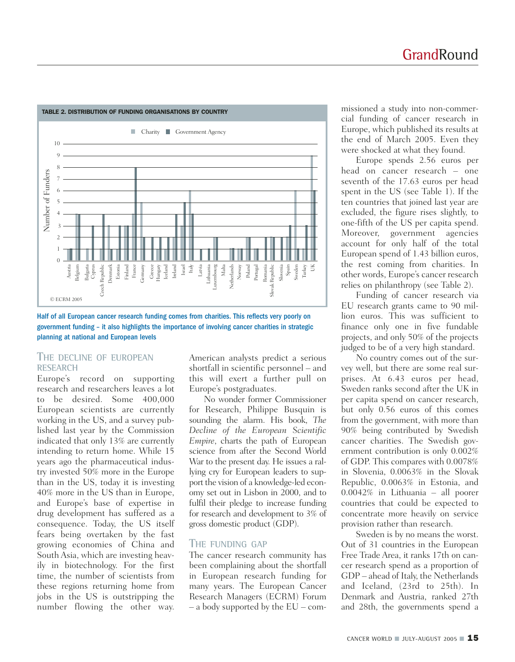

Half of all European cancer research funding comes from charities. This reflects very poorly on government funding – it also highlights the importance of involving cancer charities in strategic planning at national and European levels

#### **THE DECLINE OF EUROPEAN RESEARCH**

Europe's record on supporting research and researchers leaves a lot to be desired. Some 400,000 European scientists are currently working in the US, and a survey published last year by the Commission indicated that only 13% are currently intending to return home. While 15 years ago the pharmaceutical industry invested 50% more in the Europe than in the US, today it is investing 40% more in the US than in Europe, and Europe's base of expertise in drug development has suffered as a consequence. Today, the US itself fears being overtaken by the fast growing economies of China and South Asia, which are investing heavily in biotechnology. For the first time, the number of scientists from these regions returning home from jobs in the US is outstripping the number flowing the other way.

American analysts predict a serious shortfall in scientific personnel – and this will exert a further pull on Europe's postgraduates.

No wonder former Commissioner for Research, Philippe Busquin is sounding the alarm. His book, *The Decline of the European Scientific Empire*, charts the path of European science from after the Second World War to the present day. He issues a rallying cry for European leaders to support the vision of a knowledge-led economy set out in Lisbon in 2000, and to fulfil their pledge to increase funding for research and development to 3% of gross domestic product (GDP).

#### **THE FUNDING GAP**

The cancer research community has been complaining about the shortfall in European research funding for many years. The European Cancer Research Managers (ECRM) Forum  $-$  a body supported by the  $EU$  – com-

missioned a study into non-commercial funding of cancer research in Europe, which published its results at the end of March 2005. Even they were shocked at what they found.

Europe spends 2.56 euros per head on cancer research – one seventh of the 17.63 euros per head spent in the US (see Table 1). If the ten countries that joined last year are excluded, the figure rises slightly, to one-fifth of the US per capita spend. Moreover, government agencies account for only half of the total European spend of 1.43 billion euros, the rest coming from charities. In other words, Europe's cancer research relies on philanthropy (see Table 2).

Funding of cancer research via EU research grants came to 90 million euros. This was sufficient to finance only one in five fundable projects, and only 50% of the projects judged to be of a very high standard.

No country comes out of the survey well, but there are some real surprises. At 6.43 euros per head, Sweden ranks second after the UK in per capita spend on cancer research, but only 0.56 euros of this comes from the government, with more than 90% being contributed by Swedish cancer charities. The Swedish government contribution is only 0.002% of GDP. This compares with 0.0078% in Slovenia, 0.0063% in the Slovak Republic, 0.0063% in Estonia, and 0.0042% in Lithuania – all poorer countries that could be expected to concentrate more heavily on service provision rather than research.

Sweden is by no means the worst. Out of 31 countries in the European Free Trade Area, it ranks 17th on cancer research spend as a proportion of GDP – ahead of Italy, the Netherlands and Iceland, (23rd to 25th). In Denmark and Austria, ranked 27th and 28th, the governments spend a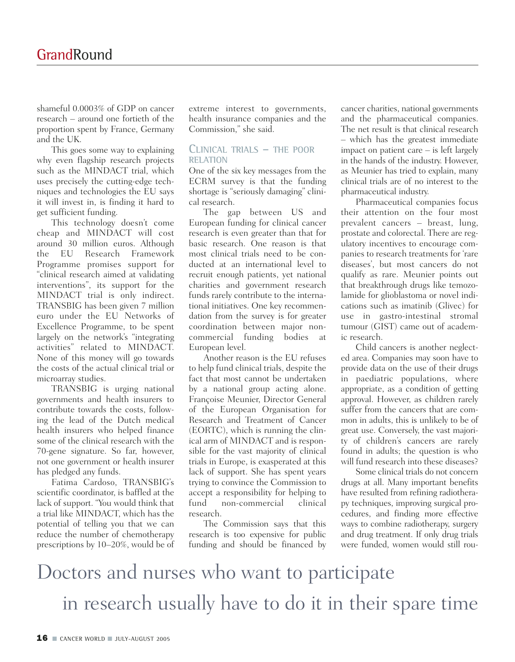shameful 0.0003% of GDP on cancer research – around one fortieth of the proportion spent by France, Germany and the UK.

This goes some way to explaining why even flagship research projects such as the MINDACT trial, which uses precisely the cutting-edge techniques and technologies the EU says it will invest in, is finding it hard to get sufficient funding.

This technology doesn't come cheap and MINDACT will cost around 30 million euros. Although the EU Research Framework Programme promises support for "clinical research aimed at validating interventions", its support for the MINDACT trial is only indirect. TRANSBIG has been given 7 million euro under the EU Networks of Excellence Programme, to be spent largely on the network's "integrating activities" related to MINDACT. None of this money will go towards the costs of the actual clinical trial or microarray studies.

TRANSBIG is urging national governments and health insurers to contribute towards the costs, following the lead of the Dutch medical health insurers who helped finance some of the clinical research with the 70-gene signature. So far, however, not one government or health insurer has pledged any funds.

Fatima Cardoso, TRANSBIG's scientific coordinator, is baffled at the lack of support. "You would think that a trial like MINDACT, which has the potential of telling you that we can reduce the number of chemotherapy prescriptions by 10–20%, would be of

extreme interest to governments, health insurance companies and the Commission," she said.

#### **CLINICAL TRIALS – THE POOR RELATION**

One of the six key messages from the ECRM survey is that the funding shortage is "seriously damaging" clinical research.

The gap between US and European funding for clinical cancer research is even greater than that for basic research. One reason is that most clinical trials need to be conducted at an international level to recruit enough patients, yet national charities and government research funds rarely contribute to the international initiatives. One key recommendation from the survey is for greater coordination between major noncommercial funding bodies at European level.

Another reason is the EU refuses to help fund clinical trials, despite the fact that most cannot be undertaken by a national group acting alone. Françoise Meunier, Director General of the European Organisation for Research and Treatment of Cancer (EORTC), which is running the clinical arm of MINDACT and is responsible for the vast majority of clinical trials in Europe, is exasperated at this lack of support. She has spent years trying to convince the Commission to accept a responsibility for helping to fund non-commercial clinical research.

The Commission says that this research is too expensive for public funding and should be financed by cancer charities, national governments and the pharmaceutical companies. The net result is that clinical research – which has the greatest immediate impact on patient care – is left largely in the hands of the industry. However, as Meunier has tried to explain, many clinical trials are of no interest to the pharmaceutical industry.

Pharmaceutical companies focus their attention on the four most prevalent cancers – breast, lung, prostate and colorectal. There are regulatory incentives to encourage companies to research treatments for 'rare diseases', but most cancers do not qualify as rare. Meunier points out that breakthrough drugs like temozolamide for glioblastoma or novel indications such as imatinib (Glivec) for use in gastro-intestinal stromal tumour (GIST) came out of academic research.

Child cancers is another neglected area. Companies may soon have to provide data on the use of their drugs in paediatric populations, where appropriate, as a condition of getting approval. However, as children rarely suffer from the cancers that are common in adults, this is unlikely to be of great use. Conversely, the vast majority of children's cancers are rarely found in adults; the question is who will fund research into these diseases?

Some clinical trials do not concern drugs at all. Many important benefits have resulted from refining radiotherapy techniques, improving surgical procedures, and finding more effective ways to combine radiotherapy, surgery and drug treatment. If only drug trials were funded, women would still rou-

### Doctors and nurses who want to participate in research usually have to do it in their spare time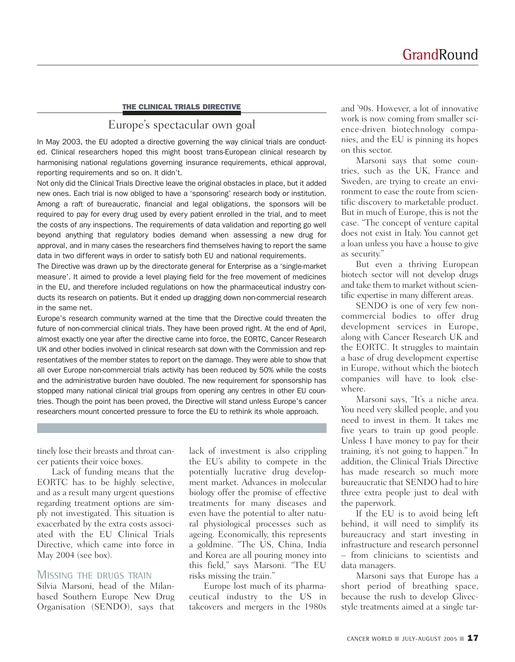#### THE CLINICAL TRIALS DIRECTIVE

#### Europe's spectacular own goal

In May 2003, the EU adopted a directive governing the way clinical trials are conducted. Clinical researchers hoped this might boost trans-European clinical research by harmonising national regulations governing insurance requirements, ethical approval, reporting requirements and so on. It didn't.

Not only did the Clinical Trials Directive leave the original obstacles in place, but it added new ones. Each trial is now obliged to have a 'sponsoring' research body or institution. Among a raft of bureaucratic, financial and legal obligations, the sponsors will be required to pay for every drug used by every patient enrolled in the trial, and to meet the costs of any inspections. The requirements of data validation and reporting go well beyond anything that regulatory bodies demand when assessing a new drug for approval, and in many cases the researchers find themselves having to report the same data in two different ways in order to satisfy both EU and national requirements.

The Directive was drawn up by the directorate general for Enterprise as a 'single-market measure'. It aimed to provide a level playing field for the free movement of medicines in the EU, and therefore included regulations on how the pharmaceutical industry conducts its research on patients. But it ended up dragging down non-commercial research in the same net.

Europe's research community warned at the time that the Directive could threaten the future of non-commercial clinical trials. They have been proved right. At the end of April, almost exactly one year after the directive came into force, the EORTC, Cancer Research UK and other bodies involved in clinical research sat down with the Commission and representatives of the member states to report on the damage. They were able to show that all over Europe non-commercial trials activity has been reduced by 50% while the costs and the administrative burden have doubled. The new requirement for sponsorship has stopped many national clinical trial groups from opening any centres in other EU countries. Though the point has been proved, the Directive will stand unless Europe's cancer researchers mount concerted pressure to force the EU to rethink its whole approach.

tinely lose their breasts and throat cancer patients their voice boxes.

Lack of funding means that the EORTC has to be highly selective, and as a result many urgent questions regarding treatment options are simply not investigated. This situation is exacerbated by the extra costs associated with the EU Clinical Trials Directive, which came into force in May 2004 (see box).

#### **MISSING THE DRUGS TRAIN**

Silvia Marsoni, head of the Milanbased Southern Europe New Drug Organisation (SENDO), says that

lack of investment is also crippling the EU's ability to compete in the potentially lucrative drug development market. Advances in molecular biology offer the promise of effective treatments for many diseases and even have the potential to alter natural physiological processes such as ageing. Economically, this represents a goldmine. "The US, China, India and Korea are all pouring money into this field," says Marsoni. "The EU risks missing the train."

Europe lost much of its pharmaceutical industry to the US in takeovers and mergers in the 1980s

and '90s. However, a lot of innovative work is now coming from smaller science-driven biotechnology companies, and the EU is pinning its hopes on this sector.

Marsoni says that some countries, such as the UK, France and Sweden, are trying to create an environment to ease the route from scientific discovery to marketable product. But in much of Europe, this is not the case. "The concept of venture capital does not exist in Italy. You cannot get a loan unless you have a house to give as security."

But even a thriving European biotech sector will not develop drugs and take them to market without scientific expertise in many different areas.

SENDO is one of very few noncommercial bodies to offer drug development services in Europe, along with Cancer Research UK and the EORTC. It struggles to maintain a base of drug development expertise in Europe, without which the biotech companies will have to look elsewhere.

Marsoni says, "It's a niche area. You need very skilled people, and you need to invest in them. It takes me five years to train up good people. Unless I have money to pay for their training, it's not going to happen." In addition, the Clinical Trials Directive has made research so much more bureaucratic that SENDO had to hire three extra people just to deal with the paperwork.

If the EU is to avoid being left behind, it will need to simplify its bureaucracy and start investing in infrastructure and research personnel – from clinicians to scientists and data managers.

Marsoni says that Europe has a short period of breathing space, because the rush to develop Glivecstyle treatments aimed at a single tar-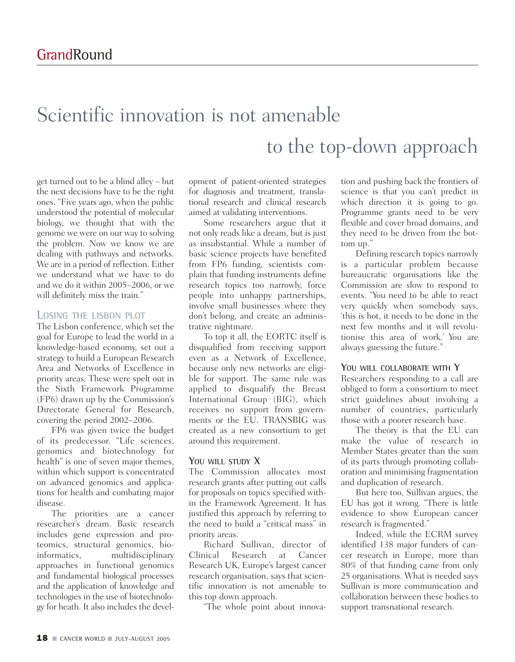## Scientific innovation is not amenable to the top-down approach

get turned out to be a blind alley – but the next decisions have to be the right ones. "Five years ago, when the public understood the potential of molecular biology, we thought that with the genome we were on our way to solving the problem. Now we know we are dealing with pathways and networks. We are in a period of reflection. Either we understand what we have to do and we do it within 2005–2006, or we will definitely miss the train."

#### **LOSING THE LISBON PLOT**

The Lisbon conference, which set the goal for Europe to lead the world in a knowledge-based economy, set out a strategy to build a European Research Area and Networks of Excellence in priority areas. These were spelt out in the Sixth Framework Programme (FP6) drawn up by the Commission's Directorate General for Research, covering the period 2002–2006.

FP6 was given twice the budget of its predecessor. "Life sciences, genomics and biotechnology for health" is one of seven major themes, within which support is concentrated on advanced genomics and applications for health and combating major disease.

The priorities are a cancer researcher's dream. Basic research includes gene expression and proteomics, structural genomics, bioinformatics, multidisciplinary approaches in functional genomics and fundamental biological processes and the application of knowledge and technologies in the use of biotechnology for heath. It also includes the devel-

opment of patient-oriented strategies for diagnosis and treatment, translational research and clinical research aimed at validating interventions.

Some researchers argue that it not only reads like a dream, but is just as insubstantial. While a number of basic science projects have benefited from FP6 funding, scientists complain that funding instruments define research topics too narrowly, force people into unhappy partnerships, involve small businesses where they don't belong, and create an administrative nightmare.

To top it all, the EORTC itself is disqualified from receiving support even as a Network of Excellence, because only new networks are eligible for support. The same rule was applied to disqualify the Breast International Group (BIG), which receives no support from governments or the EU. TRANSBIG was created as a new consortium to get around this requirement.

#### **YOU WILL STUDY X**

The Commission allocates most research grants after putting out calls for proposals on topics specified within the Framework Agreement. It has justified this approach by referring to the need to build a "critical mass" in priority areas.

Richard Sullivan, director of Clinical Research at Cancer Research UK, Europe's largest cancer research organisation, says that scientific innovation is not amenable to this top down approach.

"The whole point about innova-

tion and pushing back the frontiers of science is that you can't predict in which direction it is going to go. Programme grants need to be very flexible and cover broad domains, and they need to be driven from the bottom up."

Defining research topics narrowly is a particular problem because bureaucratic organisations like the Commission are slow to respond to events. "You need to be able to react very quickly when somebody says, 'this is hot, it needs to be done in the next few months and it will revolutionise this area of work.' You are always guessing the future."

#### **YOU WILL COLLABORATE WITH Y**

Researchers responding to a call are obliged to form a consortium to meet strict guidelines about involving a number of countries, particularly those with a poorer research base.

The theory is that the EU can make the value of research in Member States greater than the sum of its parts through promoting collaboration and minimising fragmentation and duplication of research.

But here too, Sullivan argues, the EU has got it wrong. "There is little evidence to show European cancer research is fragmented."

Indeed, while the ECRM survey identified 138 major funders of cancer research in Europe, more than 80% of that funding came from only 25 organisations. What is needed says Sullivan is more communication and collaboration between these bodies to support transnational research.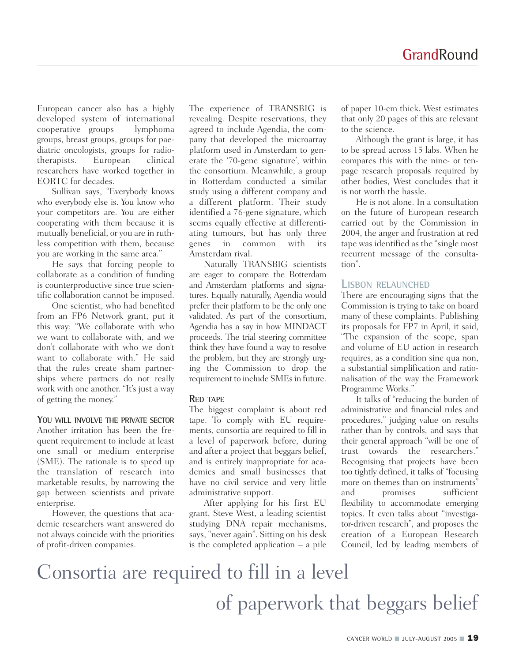European cancer also has a highly developed system of international cooperative groups – lymphoma groups, breast groups, groups for paediatric oncologists, groups for radiotherapists. European clinical researchers have worked together in EORTC for decades.

Sullivan says, "Everybody knows who everybody else is. You know who your competitors are. You are either cooperating with them because it is mutually beneficial, or you are in ruthless competition with them, because you are working in the same area."

He says that forcing people to collaborate as a condition of funding is counterproductive since true scientific collaboration cannot be imposed.

One scientist, who had benefited from an FP6 Network grant, put it this way: "We collaborate with who we want to collaborate with, and we don't collaborate with who we don't want to collaborate with." He said that the rules create sham partnerships where partners do not really work with one another. "It's just a way of getting the money."

#### **YOU WILL INVOLVE THE PRIVATE SECTOR**

Another irritation has been the frequent requirement to include at least one small or medium enterprise (SME). The rationale is to speed up the translation of research into marketable results, by narrowing the gap between scientists and private enterprise.

However, the questions that academic researchers want answered do not always coincide with the priorities of profit-driven companies.

The experience of TRANSBIG is revealing. Despite reservations, they agreed to include Agendia, the company that developed the microarray platform used in Amsterdam to generate the '70-gene signature', within the consortium. Meanwhile, a group in Rotterdam conducted a similar study using a different company and a different platform. Their study identified a 76-gene signature, which seems equally effective at differentiating tumours, but has only three genes in common with its Amsterdam rival.

Naturally TRANSBIG scientists are eager to compare the Rotterdam and Amsterdam platforms and signatures. Equally naturally, Agendia would prefer their platform to be the only one validated. As part of the consortium, Agendia has a say in how MINDACT proceeds. The trial steering committee think they have found a way to resolve the problem, but they are strongly urging the Commission to drop the requirement to include SMEs in future.

#### **RED TAPE**

The biggest complaint is about red tape. To comply with EU requirements, consortia are required to fill in a level of paperwork before, during and after a project that beggars belief, and is entirely inappropriate for academics and small businesses that have no civil service and very little administrative support.

After applying for his first EU grant, Steve West, a leading scientist studying DNA repair mechanisms, says, "never again". Sitting on his desk is the completed application – a pile

of paper 10-cm thick. West estimates that only 20 pages of this are relevant to the science.

Although the grant is large, it has to be spread across 15 labs. When he compares this with the nine- or tenpage research proposals required by other bodies, West concludes that it is not worth the hassle.

He is not alone. In a consultation on the future of European research carried out by the Commission in 2004, the anger and frustration at red tape was identified as the "single most recurrent message of the consultation".

#### **LISBON RELAUNCHED**

There are encouraging signs that the Commission is trying to take on board many of these complaints. Publishing its proposals for FP7 in April, it said, "The expansion of the scope, span and volume of EU action in research requires, as a condition sine qua non, a substantial simplification and rationalisation of the way the Framework Programme Works."

It talks of "reducing the burden of administrative and financial rules and procedures," judging value on results rather than by controls, and says that their general approach "will be one of trust towards the researchers." Recognising that projects have been too tightly defined, it talks of "focusing more on themes than on instruments" and promises sufficient flexibility to accommodate emerging topics. It even talks about "investigator-driven research", and proposes the creation of a European Research Council, led by leading members of

### Consortia are required to fill in a level of paperwork that beggars belief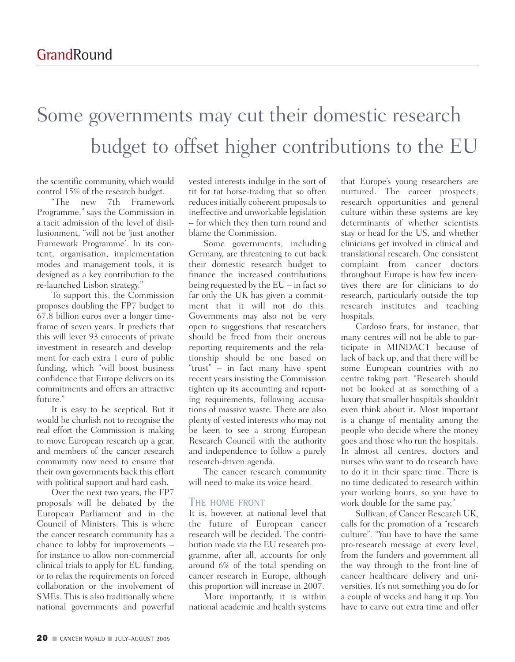### Some governments may cut their domestic research budget to offset higher contributions to the EU

the scientific community, which would control 15% of the research budget.

"The new 7th Framework Programme," says the Commission in a tacit admission of the level of disillusionment, "will not be 'just another Framework Programme'. In its content, organisation, implementation modes and management tools, it is designed as a key contribution to the re-launched Lisbon strategy."

To support this, the Commission proposes doubling the FP7 budget to 67.8 billion euros over a longer timeframe of seven years. It predicts that this will lever 93 eurocents of private investment in research and development for each extra 1 euro of public funding, which "will boost business confidence that Europe delivers on its commitments and offers an attractive future."

It is easy to be sceptical. But it would be churlish not to recognise the real effort the Commission is making to move European research up a gear, and members of the cancer research community now need to ensure that their own governments back this effort with political support and hard cash.

Over the next two years, the FP7 proposals will be debated by the European Parliament and in the Council of Ministers. This is where the cancer research community has a chance to lobby for improvements – for instance to allow non-commercial clinical trials to apply for EU funding, or to relax the requirements on forced collaboration or the involvement of SMEs. This is also traditionally where national governments and powerful

vested interests indulge in the sort of tit for tat horse-trading that so often reduces initially coherent proposals to ineffective and unworkable legislation – for which they then turn round and blame the Commission.

Some governments, including Germany, are threatening to cut back their domestic research budget to finance the increased contributions being requested by the EU – in fact so far only the UK has given a commitment that it will not do this. Governments may also not be very open to suggestions that researchers should be freed from their onerous reporting requirements and the relationship should be one based on "trust" – in fact many have spent recent years insisting the Commission tighten up its accounting and reporting requirements, following accusations of massive waste. There are also plenty of vested interests who may not be keen to see a strong European Research Council with the authority and independence to follow a purely research-driven agenda.

The cancer research community will need to make its voice heard.

#### **THE HOME FRONT**

It is, however, at national level that the future of European cancer research will be decided. The contribution made via the EU research programme, after all, accounts for only around 6% of the total spending on cancer research in Europe, although this proportion will increase in 2007.

More importantly, it is within national academic and health systems that Europe's young researchers are nurtured. The career prospects, research opportunities and general culture within these systems are key determinants of whether scientists stay or head for the US, and whether clinicians get involved in clinical and translational research. One consistent complaint from cancer doctors throughout Europe is how few incentives there are for clinicians to do research, particularly outside the top research institutes and teaching hospitals.

Cardoso fears, for instance, that many centres will not be able to participate in MINDACT because of lack of back up, and that there will be some European countries with no centre taking part. "Research should not be looked at as something of a luxury that smaller hospitals shouldn't even think about it. Most important is a change of mentality among the people who decide where the money goes and those who run the hospitals. In almost all centres, doctors and nurses who want to do research have to do it in their spare time. There is no time dedicated to research within your working hours, so you have to work double for the same pay."

Sullivan, of Cancer Research UK, calls for the promotion of a "research culture". "You have to have the same pro-research message at every level, from the funders and government all the way through to the front-line of cancer healthcare delivery and universities. It's not something you do for a couple of weeks and hang it up. You have to carve out extra time and offer